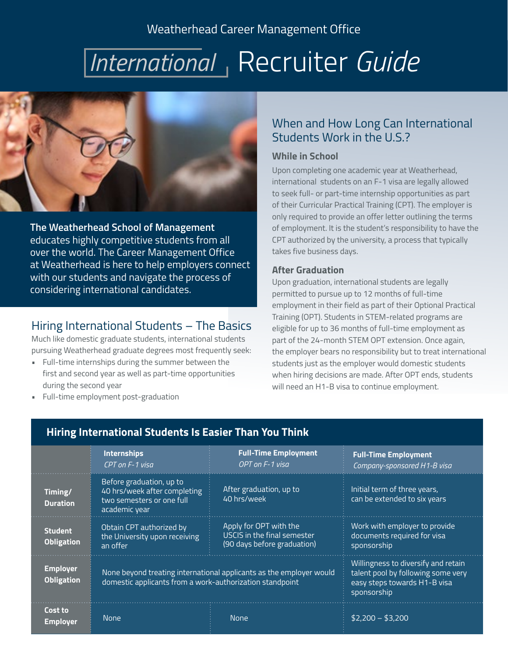## Weatherhead Career Management Office

# *International*, Recruiter *Guide*



**The Weatherhead School of Management**  educates highly competitive students from all over the world. The Career Management Office at Weatherhead is here to help employers connect with our students and navigate the process of considering international candidates.

### Hiring International Students – The Basics

Much like domestic graduate students, international students pursuing Weatherhead graduate degrees most frequently seek:

- Full-time internships during the summer between the first and second year as well as part-time opportunities during the second year
- Full-time employment post-graduation

## When and How Long Can International Students Work in the U.S.?

#### **While in School**

Upon completing one academic year at Weatherhead, international students on an F-1 visa are legally allowed to seek full- or part-time internship opportunities as part of their Curricular Practical Training (CPT). The employer is only required to provide an offer letter outlining the terms of employment. It is the student's responsibility to have the CPT authorized by the university, a process that typically takes five business days.

#### **After Graduation**

Upon graduation, international students are legally permitted to pursue up to 12 months of full-time employment in their field as part of their Optional Practical Training (OPT). Students in STEM-related programs are eligible for up to 36 months of full-time employment as part of the 24-month STEM OPT extension. Once again, the employer bears no responsibility but to treat international students just as the employer would domestic students when hiring decisions are made. After OPT ends, students will need an H1-B visa to continue employment.

|                                      | <b>Internships</b><br>CPT on F-1 visa                                                                                           | <b>Full-Time Employment</b><br>OPT on F-1 visa                                       | <b>Full-Time Employment</b><br>Company-sponsored H1-B visa                                                               |
|--------------------------------------|---------------------------------------------------------------------------------------------------------------------------------|--------------------------------------------------------------------------------------|--------------------------------------------------------------------------------------------------------------------------|
| Timing/<br><b>Duration</b>           | Before graduation, up to<br>40 hrs/week after completing<br>two semesters or one full<br>academic year                          | After graduation, up to<br>40 hrs/week                                               | Initial term of three years,<br>can be extended to six years                                                             |
| <b>Student</b><br><b>Obligation</b>  | Obtain CPT authorized by<br>the University upon receiving<br>an offer                                                           | Apply for OPT with the<br>USCIS in the final semester<br>(90 days before graduation) | Work with employer to provide<br>documents required for visa<br>sponsorship                                              |
| <b>Employer</b><br><b>Obligation</b> | None beyond treating international applicants as the employer would<br>domestic applicants from a work-authorization standpoint |                                                                                      | Willingness to diversify and retain<br>talent pool by following some very<br>easy steps towards H1-B visa<br>sponsorship |
| Cost to<br>Employer                  | <b>None</b>                                                                                                                     | <b>None</b>                                                                          | $$2,200 - $3,200$                                                                                                        |

### **Hiring International Students Is Easier Than You Think**